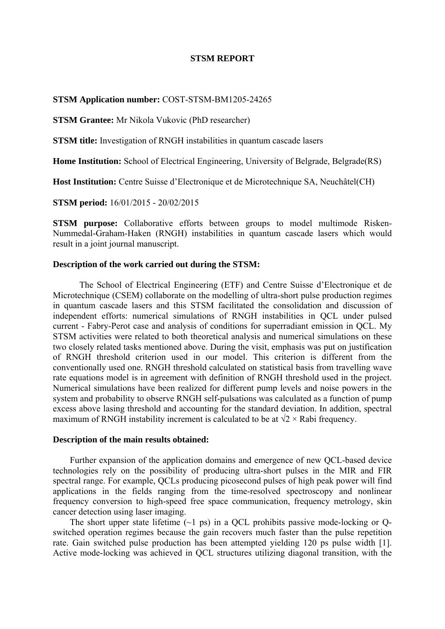#### **STSM REPORT**

#### **STSM Application number:** COST-STSM-BM1205-24265

**STSM Grantee:** Mr Nikola Vukovic (PhD researcher)

**STSM title:** Investigation of RNGH instabilities in quantum cascade lasers

**Home Institution:** School of Electrical Engineering, University of Belgrade, Belgrade(RS)

**Host Institution:** Centre Suisse d'Electronique et de Microtechnique SA, Neuchâtel(CH)

**STSM period:** 16/01/2015 - 20/02/2015

**STSM purpose:** Collaborative efforts between groups to model multimode Risken-Nummedal-Graham-Haken (RNGH) instabilities in quantum cascade lasers which would result in a joint journal manuscript.

#### **Description of the work carried out during the STSM:**

The School of Electrical Engineering (ETF) and Centre Suisse d'Electronique et de Microtechnique (CSEM) collaborate on the modelling of ultra-short pulse production regimes in quantum cascade lasers and this STSM facilitated the consolidation and discussion of independent efforts: numerical simulations of RNGH instabilities in QCL under pulsed current - Fabry-Perot case and analysis of conditions for superradiant emission in QCL. My STSM activities were related to both theoretical analysis and numerical simulations on these two closely related tasks mentioned above. During the visit, emphasis was put on justification of RNGH threshold criterion used in our model. This criterion is different from the conventionally used one. RNGH threshold calculated on statistical basis from travelling wave rate equations model is in agreement with definition of RNGH threshold used in the project. Numerical simulations have been realized for different pump levels and noise powers in the system and probability to observe RNGH self-pulsations was calculated as a function of pump excess above lasing threshold and accounting for the standard deviation. In addition, spectral maximum of RNGH instability increment is calculated to be at  $\sqrt{2} \times$  Rabi frequency.

#### **Description of the main results obtained:**

Further expansion of the application domains and emergence of new QCL-based device technologies rely on the possibility of producing ultra-short pulses in the MIR and FIR spectral range. For example, QCLs producing picosecond pulses of high peak power will find applications in the fields ranging from the time-resolved spectroscopy and nonlinear frequency conversion to high-speed free space communication, frequency metrology, skin cancer detection using laser imaging.

The short upper state lifetime  $(-1 \text{ ps})$  in a QCL prohibits passive mode-locking or Qswitched operation regimes because the gain recovers much faster than the pulse repetition rate. Gain switched pulse production has been attempted yielding 120 ps pulse width [1]. Active mode-locking was achieved in QCL structures utilizing diagonal transition, with the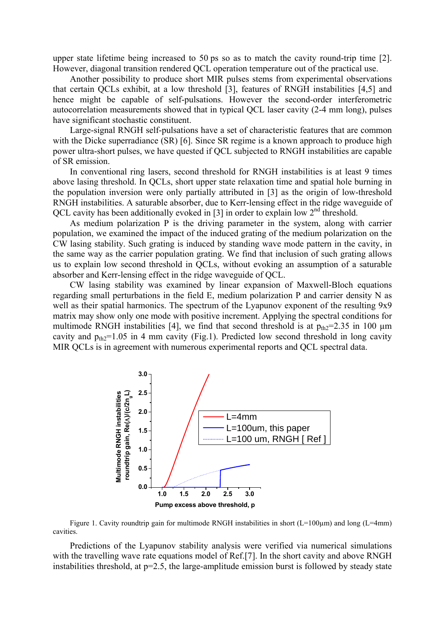upper state lifetime being increased to 50 ps so as to match the cavity round-trip time [2]. However, diagonal transition rendered QCL operation temperature out of the practical use.

Another possibility to produce short MIR pulses stems from experimental observations that certain QCLs exhibit, at a low threshold [3], features of RNGH instabilities [4,5] and hence might be capable of self-pulsations. However the second-order interferometric autocorrelation measurements showed that in typical QCL laser cavity (2-4 mm long), pulses have significant stochastic constituent.

Large-signal RNGH self-pulsations have a set of characteristic features that are common with the Dicke superradiance *(SR)* [6]. Since *SR* regime is a known approach to produce high power ultra-short pulses, we have quested if QCL subjected to RNGH instabilities are capable of SR emission.

In conventional ring lasers, second threshold for RNGH instabilities is at least 9 times above lasing threshold. In QCLs, short upper state relaxation time and spatial hole burning in the population inversion were only partially attributed in [3] as the origin of low-threshold RNGH instabilities. A saturable absorber, due to Kerr-lensing effect in the ridge waveguide of QCL cavity has been additionally evoked in [3] in order to explain low 2<sup>nd</sup> threshold.

As medium polarization P is the driving parameter in the system, along with carrier population, we examined the impact of the induced grating of the medium polarization on the CW lasing stability. Such grating is induced by standing wave mode pattern in the cavity, in the same way as the carrier population grating. We find that inclusion of such grating allows us to explain low second threshold in QCLs, without evoking an assumption of a saturable absorber and Kerr-lensing effect in the ridge waveguide of QCL.

CW lasing stability was examined by linear expansion of Maxwell-Bloch equations regarding small perturbations in the field E, medium polarization P and carrier density N as well as their spatial harmonics. The spectrum of the Lyapunov exponent of the resulting 9x9 matrix may show only one mode with positive increment. Applying the spectral conditions for multimode RNGH instabilities [4], we find that second threshold is at  $p_{th2}=2.35$  in 100  $\mu$ m cavity and  $p_{th2}=1.05$  in 4 mm cavity (Fig.1). Predicted low second threshold in long cavity MIR QCLs is in agreement with numerous experimental reports and QCL spectral data.



Figure 1. Cavity roundtrip gain for multimode RNGH instabilities in short  $(L=100\mu m)$  and long  $(L=4mm)$ cavities.

Predictions of the Lyapunov stability analysis were verified via numerical simulations with the travelling wave rate equations model of Ref.[7]. In the short cavity and above RNGH instabilities threshold, at p=2.5, the large-amplitude emission burst is followed by steady state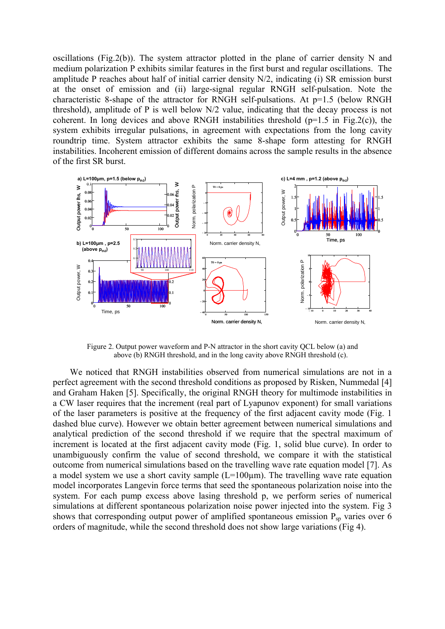oscillations (Fig.2(b)). The system attractor plotted in the plane of carrier density N and medium polarization P exhibits similar features in the first burst and regular oscillations. The amplitude P reaches about half of initial carrier density N/2, indicating (i) SR emission burst at the onset of emission and (ii) large-signal regular RNGH self-pulsation. Note the characteristic 8-shape of the attractor for RNGH self-pulsations. At p=1.5 (below RNGH threshold), amplitude of P is well below N/2 value, indicating that the decay process is not coherent. In long devices and above RNGH instabilities threshold  $(p=1.5$  in Fig.2(c)), the system exhibits irregular pulsations, in agreement with expectations from the long cavity roundtrip time. System attractor exhibits the same 8-shape form attesting for RNGH instabilities. Incoherent emission of different domains across the sample results in the absence of the first SR burst.



Figure 2. Output power waveform and P-N attractor in the short cavity QCL below (a) and above (b) RNGH threshold, and in the long cavity above RNGH threshold (c).

We noticed that RNGH instabilities observed from numerical simulations are not in a perfect agreement with the second threshold conditions as proposed by Risken, Nummedal [4] and Graham Haken [5]. Specifically, the original RNGH theory for multimode instabilities in a CW laser requires that the increment (real part of Lyapunov exponent) for small variations of the laser parameters is positive at the frequency of the first adjacent cavity mode (Fig. 1 dashed blue curve). However we obtain better agreement between numerical simulations and analytical prediction of the second threshold if we require that the spectral maximum of increment is located at the first adjacent cavity mode (Fig. 1, solid blue curve). In order to unambiguously confirm the value of second threshold, we compare it with the statistical outcome from numerical simulations based on the travelling wave rate equation model [7]. As a model system we use a short cavity sample  $(L=100\mu m)$ . The travelling wave rate equation model incorporates Langevin force terms that seed the spontaneous polarization noise into the system. For each pump excess above lasing threshold p, we perform series of numerical simulations at different spontaneous polarization noise power injected into the system. Fig 3 shows that corresponding output power of amplified spontaneous emission  $P_{sp}$  varies over 6 orders of magnitude, while the second threshold does not show large variations (Fig 4).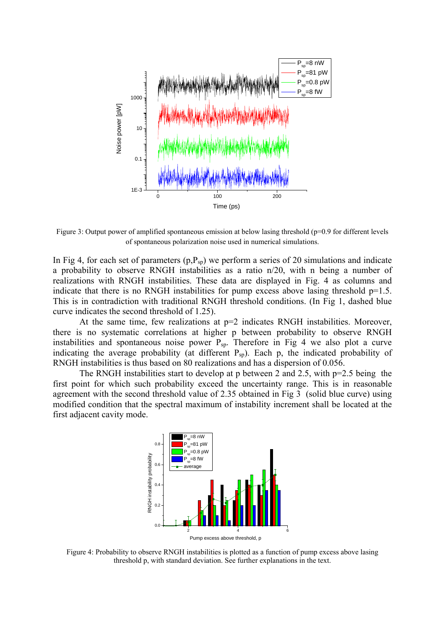

Figure 3: Output power of amplified spontaneous emission at below lasing threshold (p=0.9 for different levels of spontaneous polarization noise used in numerical simulations.

In Fig 4, for each set of parameters  $(p, P_{\text{sp}})$  we perform a series of 20 simulations and indicate a probability to observe RNGH instabilities as a ratio n/20, with n being a number of realizations with RNGH instabilities. These data are displayed in Fig. 4 as columns and indicate that there is no RNGH instabilities for pump excess above lasing threshold  $p=1.5$ . This is in contradiction with traditional RNGH threshold conditions. (In Fig 1, dashed blue curve indicates the second threshold of 1.25).

At the same time, few realizations at  $p=2$  indicates RNGH instabilities. Moreover, there is no systematic correlations at higher p between probability to observe RNGH instabilities and spontaneous noise power  $P_{sp}$ . Therefore in Fig 4 we also plot a curve indicating the average probability (at different  $P_{sp}$ ). Each p, the indicated probability of RNGH instabilities is thus based on 80 realizations and has a dispersion of 0.056.

The RNGH instabilities start to develop at p between 2 and 2.5, with  $p=2.5$  being the first point for which such probability exceed the uncertainty range. This is in reasonable agreement with the second threshold value of 2.35 obtained in Fig 3 (solid blue curve) using modified condition that the spectral maximum of instability increment shall be located at the first adjacent cavity mode.



Figure 4: Probability to observe RNGH instabilities is plotted as a function of pump excess above lasing threshold p, with standard deviation. See further explanations in the text.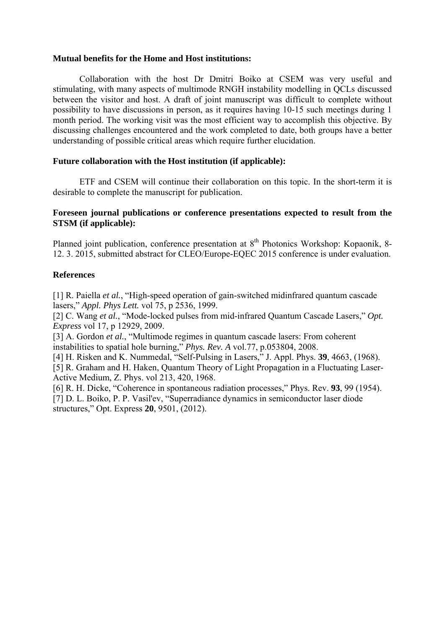## **Mutual benefits for the Home and Host institutions:**

Collaboration with the host Dr Dmitri Boiko at CSEM was very useful and stimulating, with many aspects of multimode RNGH instability modelling in QCLs discussed between the visitor and host. A draft of joint manuscript was difficult to complete without possibility to have discussions in person, as it requires having 10-15 such meetings during 1 month period. The working visit was the most efficient way to accomplish this objective. By discussing challenges encountered and the work completed to date, both groups have a better understanding of possible critical areas which require further elucidation.

## **Future collaboration with the Host institution (if applicable):**

ETF and CSEM will continue their collaboration on this topic. In the short-term it is desirable to complete the manuscript for publication.

## **Foreseen journal publications or conference presentations expected to result from the STSM (if applicable):**

Planned joint publication, conference presentation at 8<sup>th</sup> Photonics Workshop: Kopaonik, 8-12. 3. 2015, submitted abstract for CLEO/Europe-EQEC 2015 conference is under evaluation.

## **References**

[1] R. Paiella *et al.*, "High-speed operation of gain-switched midinfrared quantum cascade lasers," *Appl. Phys Lett.* vol 75, p 2536, 1999.

[2] C. Wang *et al.*, "Mode-locked pulses from mid-infrared Quantum Cascade Lasers," *Opt. Express* vol 17, p 12929, 2009.

[3] A. Gordon *et al.*, "Multimode regimes in quantum cascade lasers: From coherent instabilities to spatial hole burning," *Phys. Rev. A* vol.77, p.053804, 2008.

[4] H. Risken and K. Nummedal, "Self-Pulsing in Lasers," J. Appl. Phys. **39**, 4663, (1968). [5] R. Graham and H. Haken, Quantum Theory of Light Propagation in a Fluctuating Laser-Active Medium, Z. Phys. vol 213, 420, 1968.

[6] R. H. Dicke, "Coherence in spontaneous radiation processes," Phys. Rev. **93**, 99 (1954). [7] D. L. Boiko, P. P. Vasil'ev, "Superradiance dynamics in semiconductor laser diode structures," Opt. Express **20**, 9501, (2012).